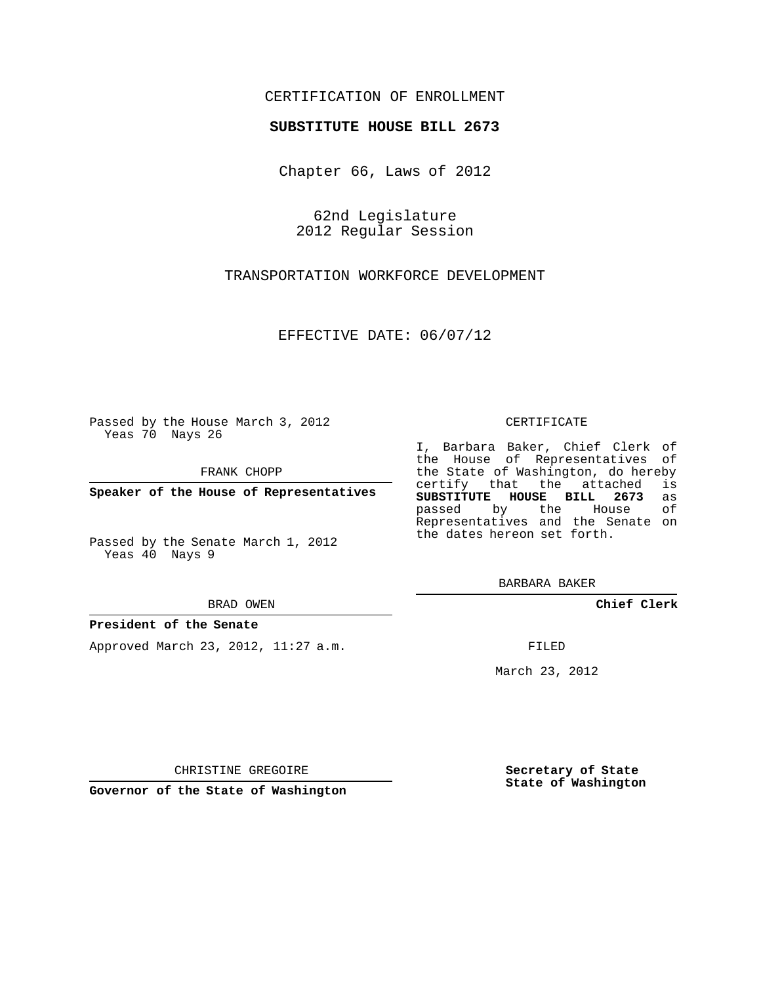# CERTIFICATION OF ENROLLMENT

## **SUBSTITUTE HOUSE BILL 2673**

Chapter 66, Laws of 2012

62nd Legislature 2012 Regular Session

TRANSPORTATION WORKFORCE DEVELOPMENT

EFFECTIVE DATE: 06/07/12

Passed by the House March 3, 2012 Yeas 70 Nays 26

FRANK CHOPP

**Speaker of the House of Representatives**

Passed by the Senate March 1, 2012 Yeas 40 Nays 9

#### BRAD OWEN

## **President of the Senate**

Approved March 23, 2012, 11:27 a.m.

### CERTIFICATE

I, Barbara Baker, Chief Clerk of the House of Representatives of the State of Washington, do hereby<br>certify that the attached is certify that the attached **SUBSTITUTE HOUSE BILL 2673** as passed by the House Representatives and the Senate on the dates hereon set forth.

BARBARA BAKER

**Chief Clerk**

FILED

March 23, 2012

**Secretary of State State of Washington**

CHRISTINE GREGOIRE

**Governor of the State of Washington**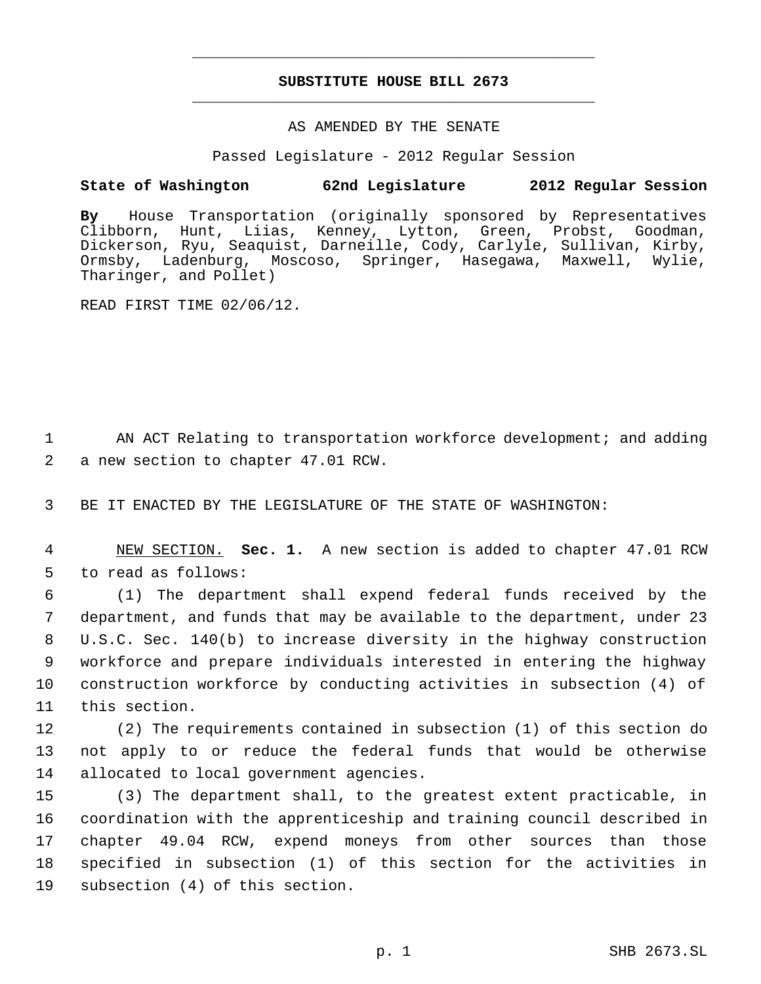# **SUBSTITUTE HOUSE BILL 2673** \_\_\_\_\_\_\_\_\_\_\_\_\_\_\_\_\_\_\_\_\_\_\_\_\_\_\_\_\_\_\_\_\_\_\_\_\_\_\_\_\_\_\_\_\_

\_\_\_\_\_\_\_\_\_\_\_\_\_\_\_\_\_\_\_\_\_\_\_\_\_\_\_\_\_\_\_\_\_\_\_\_\_\_\_\_\_\_\_\_\_

## AS AMENDED BY THE SENATE

Passed Legislature - 2012 Regular Session

# **State of Washington 62nd Legislature 2012 Regular Session**

**By** House Transportation (originally sponsored by Representatives Clibborn, Hunt, Liias, Kenney, Lytton, Green, Probst, Goodman, Dickerson, Ryu, Seaquist, Darneille, Cody, Carlyle, Sullivan, Kirby, Ormsby, Ladenburg, Moscoso, Springer, Hasegawa, Maxwell, Wylie, Tharinger, and Pollet)

READ FIRST TIME 02/06/12.

1 AN ACT Relating to transportation workforce development; and adding 2 a new section to chapter 47.01 RCW.

3 BE IT ENACTED BY THE LEGISLATURE OF THE STATE OF WASHINGTON:

 4 NEW SECTION. **Sec. 1.** A new section is added to chapter 47.01 RCW 5 to read as follows:

 (1) The department shall expend federal funds received by the department, and funds that may be available to the department, under 23 U.S.C. Sec. 140(b) to increase diversity in the highway construction workforce and prepare individuals interested in entering the highway construction workforce by conducting activities in subsection (4) of this section.

12 (2) The requirements contained in subsection (1) of this section do 13 not apply to or reduce the federal funds that would be otherwise 14 allocated to local government agencies.

 (3) The department shall, to the greatest extent practicable, in coordination with the apprenticeship and training council described in chapter 49.04 RCW, expend moneys from other sources than those specified in subsection (1) of this section for the activities in subsection (4) of this section.